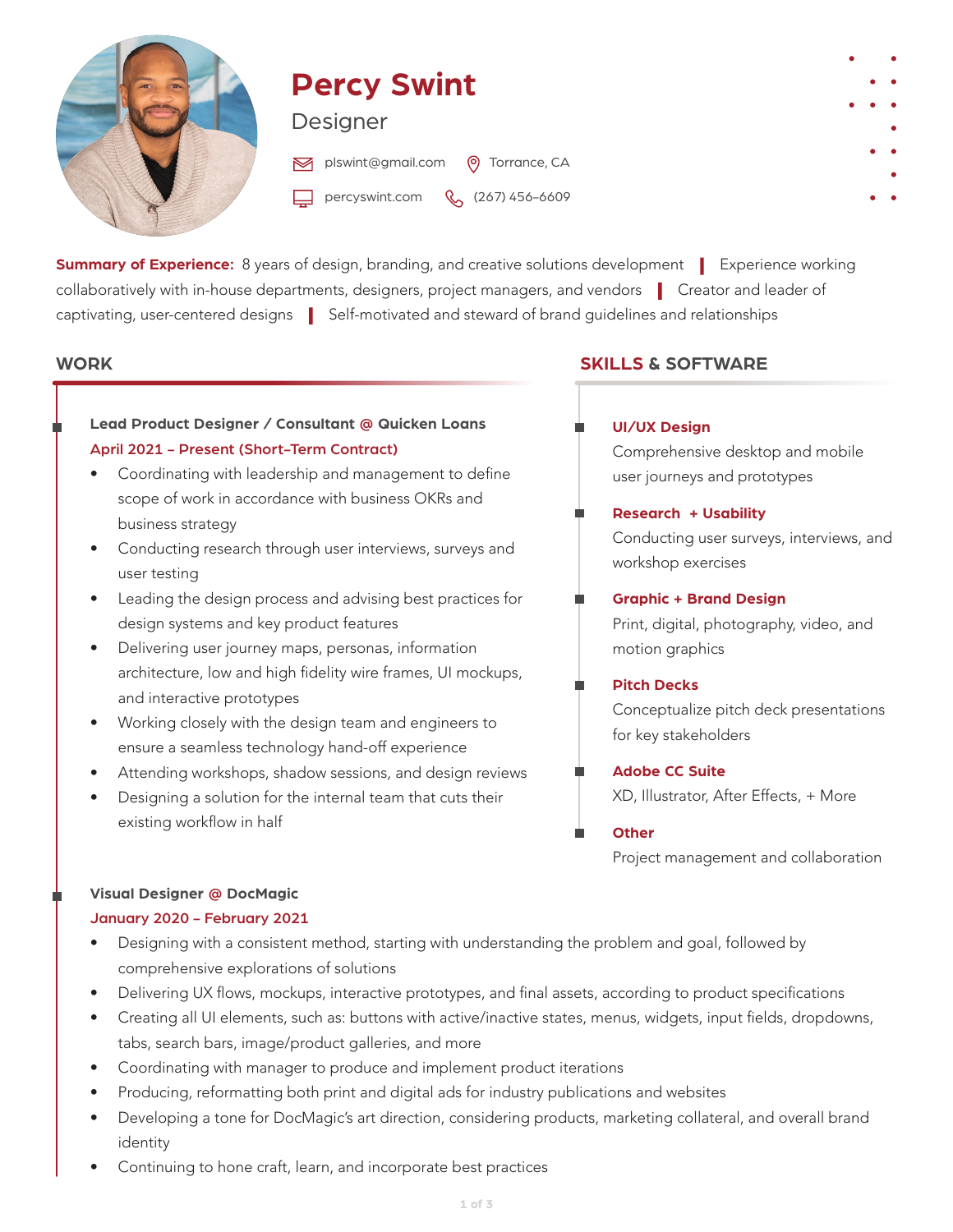

# **Percy Swint**

# Designer

plswint@gmail.com ( o Torrance, CA

percyswint.com (267) 456-6609

**Summary of Experience:** 8 years of design, branding, and creative solutions development | Experience working collaboratively with in-house departments, designers, project managers, and vendors | Creator and leader of captivating, user-centered designs | Self-motivated and steward of brand guidelines and relationships

#### **WORK**

# **Lead Product Designer / Consultant @ Quicken Loans** April 2021 - Present (Short-Term Contract)

- Coordinating with leadership and management to define scope of work in accordance with business OKRs and business strategy
- Conducting research through user interviews, surveys and user testing
- Leading the design process and advising best practices for design systems and key product features
- Delivering user journey maps, personas, information architecture, low and high fidelity wire frames, UI mockups, and interactive prototypes
- Working closely with the design team and engineers to ensure a seamless technology hand-off experience
- Attending workshops, shadow sessions, and design reviews
- Designing a solution for the internal team that cuts their existing workflow in half

# **SKILLS & SOFTWARE**

# **UI/UX Design**

Comprehensive desktop and mobile user journeys and prototypes

#### **Research + Usability**

Conducting user surveys, interviews, and workshop exercises

#### **Graphic + Brand Design**

Print, digital, photography, video, and motion graphics

#### **Pitch Decks**

Conceptualize pitch deck presentations for key stakeholders

**Adobe CC Suite** .

XD, Illustrator, After Effects, + More

**Other**

Project management and collaboration

## **Visual Designer @ DocMagic**

#### January 2020 - February 2021

- Designing with a consistent method, starting with understanding the problem and goal, followed by comprehensive explorations of solutions
- Delivering UX flows, mockups, interactive prototypes, and final assets, according to product specifications
- Creating all UI elements, such as: buttons with active/inactive states, menus, widgets, input fields, dropdowns, tabs, search bars, image/product galleries, and more
- Coordinating with manager to produce and implement product iterations
- Producing, reformatting both print and digital ads for industry publications and websites
- Developing a tone for DocMagic's art direction, considering products, marketing collateral, and overall brand identity
- Continuing to hone craft, learn, and incorporate best practices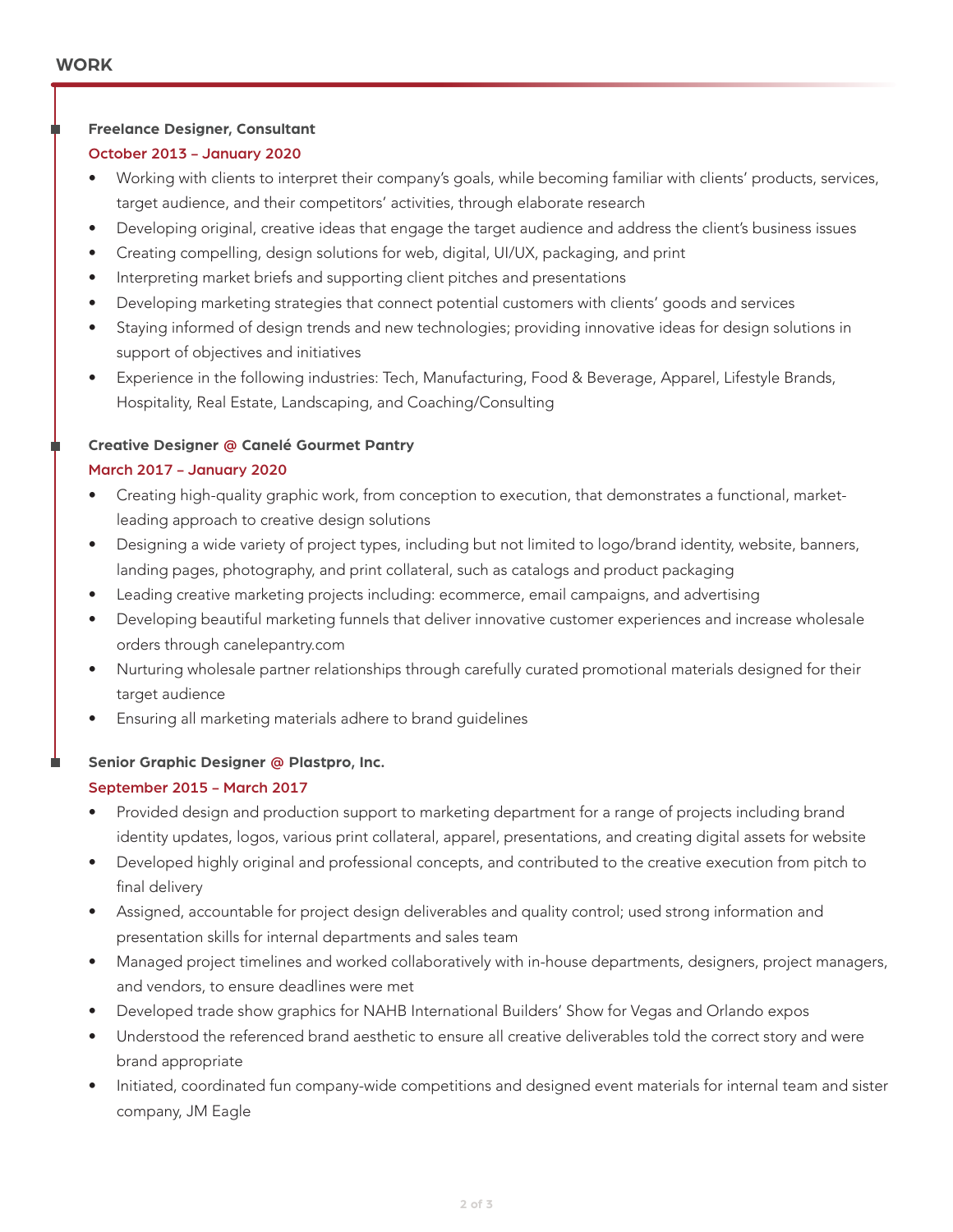#### **Freelance Designer, Consultant**

#### October 2013 - January 2020

- Working with clients to interpret their company's goals, while becoming familiar with clients' products, services, target audience, and their competitors' activities, through elaborate research
- Developing original, creative ideas that engage the target audience and address the client's business issues
- Creating compelling, design solutions for web, digital, UI/UX, packaging, and print
- Interpreting market briefs and supporting client pitches and presentations
- Developing marketing strategies that connect potential customers with clients' goods and services
- Staying informed of design trends and new technologies; providing innovative ideas for design solutions in support of objectives and initiatives
- Experience in the following industries: Tech, Manufacturing, Food & Beverage, Apparel, Lifestyle Brands, Hospitality, Real Estate, Landscaping, and Coaching/Consulting

#### **Creative Designer @ Canelé Gourmet Pantry**

#### March 2017 - January 2020

- Creating high-quality graphic work, from conception to execution, that demonstrates a functional, marketleading approach to creative design solutions
- Designing a wide variety of project types, including but not limited to logo/brand identity, website, banners, landing pages, photography, and print collateral, such as catalogs and product packaging
- Leading creative marketing projects including: ecommerce, email campaigns, and advertising
- Developing beautiful marketing funnels that deliver innovative customer experiences and increase wholesale orders through canelepantry.com
- Nurturing wholesale partner relationships through carefully curated promotional materials designed for their target audience
- Ensuring all marketing materials adhere to brand guidelines

#### **Senior Graphic Designer @ Plastpro, Inc.**

#### September 2015 - March 2017

- Provided design and production support to marketing department for a range of projects including brand identity updates, logos, various print collateral, apparel, presentations, and creating digital assets for website
- Developed highly original and professional concepts, and contributed to the creative execution from pitch to final delivery
- Assigned, accountable for project design deliverables and quality control; used strong information and presentation skills for internal departments and sales team
- Managed project timelines and worked collaboratively with in-house departments, designers, project managers, and vendors, to ensure deadlines were met
- Developed trade show graphics for NAHB International Builders' Show for Vegas and Orlando expos
- Understood the referenced brand aesthetic to ensure all creative deliverables told the correct story and were brand appropriate
- Initiated, coordinated fun company-wide competitions and designed event materials for internal team and sister company, JM Eagle